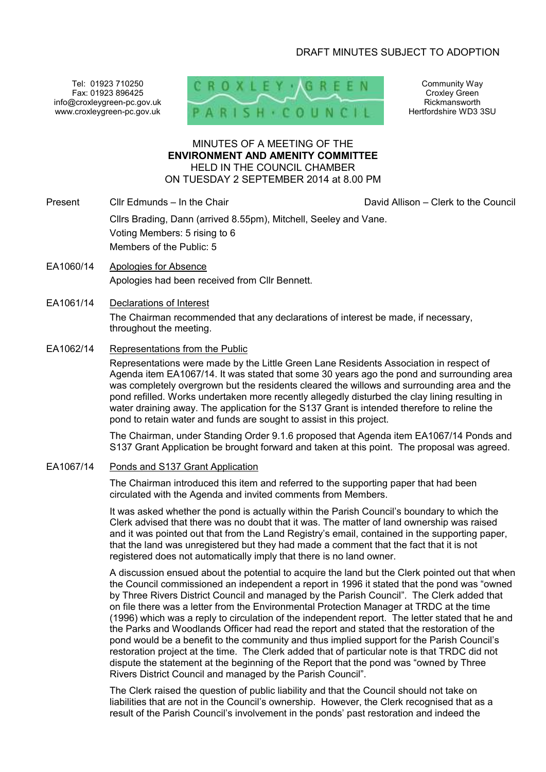# DRAFT MINUTES SUBJECT TO ADOPTION

Tel: 01923 710250 Fax: 01923 896425 info@croxleygreen-pc.gov.uk www.croxleygreen-pc.gov.uk



Community Way Croxley Green Rickmansworth Hertfordshire WD3 3SU

# MINUTES OF A MEETING OF THE **ENVIRONMENT AND AMENITY COMMITTEE** HELD IN THE COUNCIL CHAMBER ON TUESDAY 2 SEPTEMBER 2014 at 8.00 PM

Present Cllr Edmunds – In the Chair David Allison – Clerk to the Council

Cllrs Brading, Dann (arrived 8.55pm), Mitchell, Seeley and Vane. Voting Members: 5 rising to 6 Members of the Public: 5

EA1060/14 Apologies for Absence Apologies had been received from Cllr Bennett.

# EA1061/14 Declarations of Interest

The Chairman recommended that any declarations of interest be made, if necessary, throughout the meeting.

# EA1062/14 Representations from the Public

Representations were made by the Little Green Lane Residents Association in respect of Agenda item EA1067/14. It was stated that some 30 years ago the pond and surrounding area was completely overgrown but the residents cleared the willows and surrounding area and the pond refilled. Works undertaken more recently allegedly disturbed the clay lining resulting in water draining away. The application for the S137 Grant is intended therefore to reline the pond to retain water and funds are sought to assist in this project.

 The Chairman, under Standing Order 9.1.6 proposed that Agenda item EA1067/14 Ponds and S137 Grant Application be brought forward and taken at this point. The proposal was agreed.

# EA1067/14 Ponds and S137 Grant Application

The Chairman introduced this item and referred to the supporting paper that had been circulated with the Agenda and invited comments from Members.

It was asked whether the pond is actually within the Parish Council's boundary to which the Clerk advised that there was no doubt that it was. The matter of land ownership was raised and it was pointed out that from the Land Registry's email, contained in the supporting paper, that the land was unregistered but they had made a comment that the fact that it is not registered does not automatically imply that there is no land owner.

A discussion ensued about the potential to acquire the land but the Clerk pointed out that when the Council commissioned an independent a report in 1996 it stated that the pond was "owned by Three Rivers District Council and managed by the Parish Council". The Clerk added that on file there was a letter from the Environmental Protection Manager at TRDC at the time (1996) which was a reply to circulation of the independent report. The letter stated that he and the Parks and Woodlands Officer had read the report and stated that the restoration of the pond would be a benefit to the community and thus implied support for the Parish Council's restoration project at the time. The Clerk added that of particular note is that TRDC did not dispute the statement at the beginning of the Report that the pond was "owned by Three Rivers District Council and managed by the Parish Council".

The Clerk raised the question of public liability and that the Council should not take on liabilities that are not in the Council's ownership. However, the Clerk recognised that as a result of the Parish Council's involvement in the ponds' past restoration and indeed the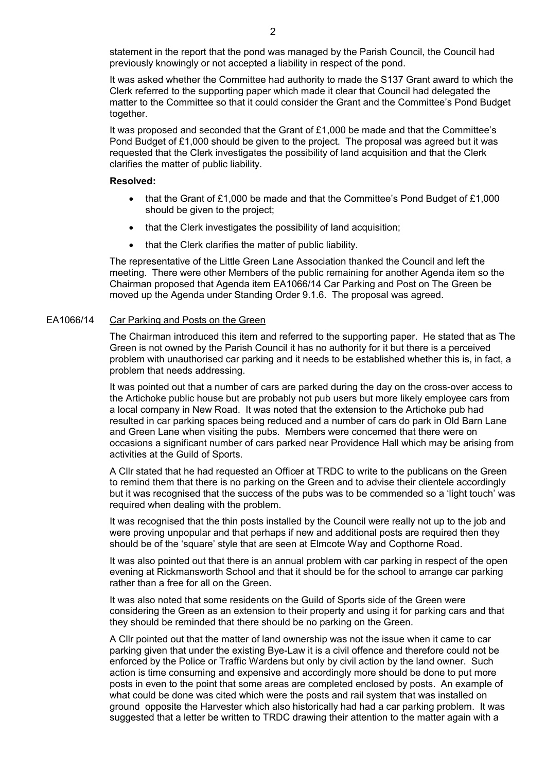statement in the report that the pond was managed by the Parish Council, the Council had previously knowingly or not accepted a liability in respect of the pond.

It was asked whether the Committee had authority to made the S137 Grant award to which the Clerk referred to the supporting paper which made it clear that Council had delegated the matter to the Committee so that it could consider the Grant and the Committee's Pond Budget together.

It was proposed and seconded that the Grant of £1,000 be made and that the Committee's Pond Budget of £1,000 should be given to the project. The proposal was agreed but it was requested that the Clerk investigates the possibility of land acquisition and that the Clerk clarifies the matter of public liability.

#### **Resolved:**

- that the Grant of £1,000 be made and that the Committee's Pond Budget of £1,000 should be given to the project;
- that the Clerk investigates the possibility of land acquisition;
- that the Clerk clarifies the matter of public liability.

 The representative of the Little Green Lane Association thanked the Council and left the meeting. There were other Members of the public remaining for another Agenda item so the Chairman proposed that Agenda item EA1066/14 Car Parking and Post on The Green be moved up the Agenda under Standing Order 9.1.6. The proposal was agreed.

# EA1066/14 Car Parking and Posts on the Green

The Chairman introduced this item and referred to the supporting paper. He stated that as The Green is not owned by the Parish Council it has no authority for it but there is a perceived problem with unauthorised car parking and it needs to be established whether this is, in fact, a problem that needs addressing.

It was pointed out that a number of cars are parked during the day on the cross-over access to the Artichoke public house but are probably not pub users but more likely employee cars from a local company in New Road. It was noted that the extension to the Artichoke pub had resulted in car parking spaces being reduced and a number of cars do park in Old Barn Lane and Green Lane when visiting the pubs. Members were concerned that there were on occasions a significant number of cars parked near Providence Hall which may be arising from activities at the Guild of Sports.

A Cllr stated that he had requested an Officer at TRDC to write to the publicans on the Green to remind them that there is no parking on the Green and to advise their clientele accordingly but it was recognised that the success of the pubs was to be commended so a 'light touch' was required when dealing with the problem.

It was recognised that the thin posts installed by the Council were really not up to the job and were proving unpopular and that perhaps if new and additional posts are required then they should be of the 'square' style that are seen at Elmcote Way and Copthorne Road.

It was also pointed out that there is an annual problem with car parking in respect of the open evening at Rickmansworth School and that it should be for the school to arrange car parking rather than a free for all on the Green.

It was also noted that some residents on the Guild of Sports side of the Green were considering the Green as an extension to their property and using it for parking cars and that they should be reminded that there should be no parking on the Green.

A Cllr pointed out that the matter of land ownership was not the issue when it came to car parking given that under the existing Bye-Law it is a civil offence and therefore could not be enforced by the Police or Traffic Wardens but only by civil action by the land owner. Such action is time consuming and expensive and accordingly more should be done to put more posts in even to the point that some areas are completed enclosed by posts. An example of what could be done was cited which were the posts and rail system that was installed on ground opposite the Harvester which also historically had had a car parking problem. It was suggested that a letter be written to TRDC drawing their attention to the matter again with a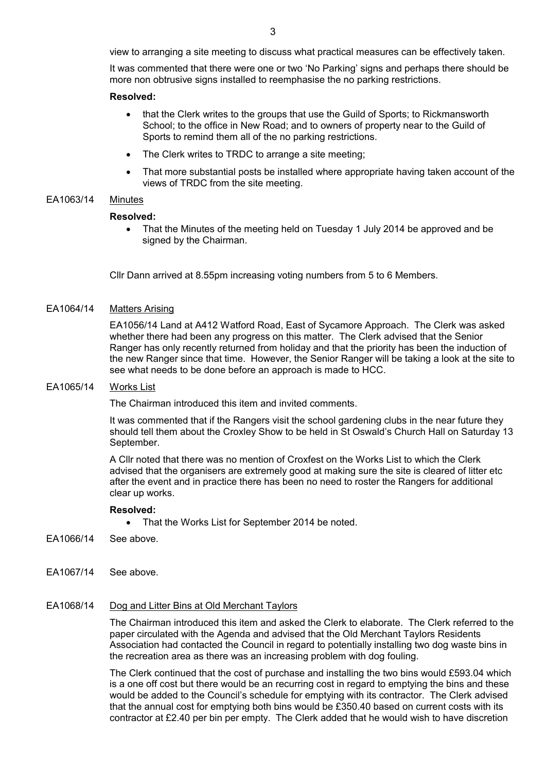view to arranging a site meeting to discuss what practical measures can be effectively taken.

It was commented that there were one or two 'No Parking' signs and perhaps there should be more non obtrusive signs installed to reemphasise the no parking restrictions.

### **Resolved:**

- that the Clerk writes to the groups that use the Guild of Sports; to Rickmansworth School; to the office in New Road; and to owners of property near to the Guild of Sports to remind them all of the no parking restrictions.
- The Clerk writes to TRDC to arrange a site meeting:
- That more substantial posts be installed where appropriate having taken account of the views of TRDC from the site meeting.

## EA1063/14 Minutes

#### **Resolved:**

• That the Minutes of the meeting held on Tuesday 1 July 2014 be approved and be signed by the Chairman.

Cllr Dann arrived at 8.55pm increasing voting numbers from 5 to 6 Members.

## EA1064/14 Matters Arising

EA1056/14 Land at A412 Watford Road, East of Sycamore Approach. The Clerk was asked whether there had been any progress on this matter. The Clerk advised that the Senior Ranger has only recently returned from holiday and that the priority has been the induction of the new Ranger since that time. However, the Senior Ranger will be taking a look at the site to see what needs to be done before an approach is made to HCC.

## EA1065/14 Works List

The Chairman introduced this item and invited comments.

It was commented that if the Rangers visit the school gardening clubs in the near future they should tell them about the Croxley Show to be held in St Oswald's Church Hall on Saturday 13 September.

A Cllr noted that there was no mention of Croxfest on the Works List to which the Clerk advised that the organisers are extremely good at making sure the site is cleared of litter etc after the event and in practice there has been no need to roster the Rangers for additional clear up works.

#### **Resolved:**

- That the Works List for September 2014 be noted.
- EA1066/14 See above.
- EA1067/14 See above.

#### EA1068/14 Dog and Litter Bins at Old Merchant Taylors

The Chairman introduced this item and asked the Clerk to elaborate. The Clerk referred to the paper circulated with the Agenda and advised that the Old Merchant Taylors Residents Association had contacted the Council in regard to potentially installing two dog waste bins in the recreation area as there was an increasing problem with dog fouling.

The Clerk continued that the cost of purchase and installing the two bins would £593.04 which is a one off cost but there would be an recurring cost in regard to emptying the bins and these would be added to the Council's schedule for emptying with its contractor. The Clerk advised that the annual cost for emptying both bins would be £350.40 based on current costs with its contractor at £2.40 per bin per empty. The Clerk added that he would wish to have discretion